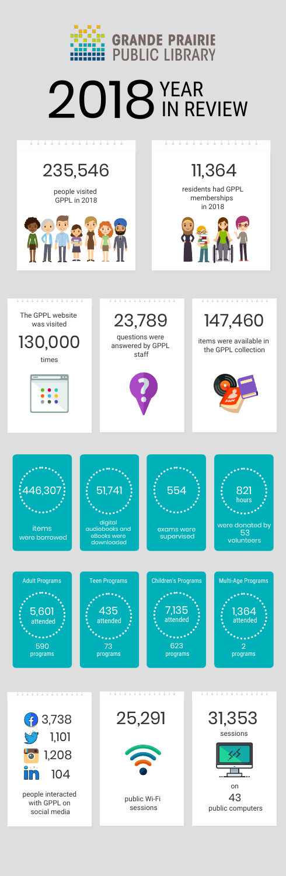# 235,546 11,364



23,789 147,460

<u>. . . . . . . . . . . . .</u>

people visited GPPL in 2018



#### <del>. . . . . . . . . . . . . .</del>

 residents had GPPL memberships in 2018





# 2018<sup>YEAR</sup> IN REVIEW

#### <del>. . . . . . . . . . . . . .</del>

The GPPL website was visited

,,,,,,,,,,,,,,,,,,,,,,

questions were answered by GPPL staff



items were available in the GPPL collection



times



<u>. . . . . . . . . . . . . .</u>



with GPPL on social media

. . . . . . . . . . .





public Wi-Fi sessions



<u>. . . . . . . . . . .</u>